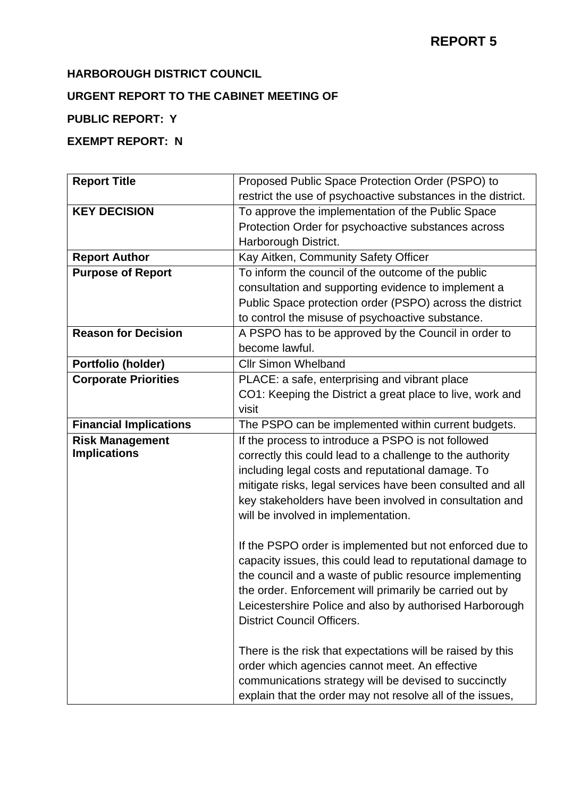# **REPORT 5**

#### **HARBOROUGH DISTRICT COUNCIL**

## **URGENT REPORT TO THE CABINET MEETING OF**

## **PUBLIC REPORT: Y**

## **EXEMPT REPORT: N**

| <b>Report Title</b>           | Proposed Public Space Protection Order (PSPO) to             |
|-------------------------------|--------------------------------------------------------------|
|                               | restrict the use of psychoactive substances in the district. |
| <b>KEY DECISION</b>           | To approve the implementation of the Public Space            |
|                               | Protection Order for psychoactive substances across          |
|                               | Harborough District.                                         |
| <b>Report Author</b>          | Kay Aitken, Community Safety Officer                         |
| <b>Purpose of Report</b>      | To inform the council of the outcome of the public           |
|                               | consultation and supporting evidence to implement a          |
|                               | Public Space protection order (PSPO) across the district     |
|                               | to control the misuse of psychoactive substance.             |
| <b>Reason for Decision</b>    | A PSPO has to be approved by the Council in order to         |
|                               | become lawful.                                               |
| Portfolio (holder)            | <b>Cllr Simon Whelband</b>                                   |
| <b>Corporate Priorities</b>   | PLACE: a safe, enterprising and vibrant place                |
|                               | CO1: Keeping the District a great place to live, work and    |
|                               | visit                                                        |
| <b>Financial Implications</b> | The PSPO can be implemented within current budgets.          |
| <b>Risk Management</b>        | If the process to introduce a PSPO is not followed           |
| <b>Implications</b>           | correctly this could lead to a challenge to the authority    |
|                               | including legal costs and reputational damage. To            |
|                               | mitigate risks, legal services have been consulted and all   |
|                               | key stakeholders have been involved in consultation and      |
|                               | will be involved in implementation.                          |
|                               |                                                              |
|                               | If the PSPO order is implemented but not enforced due to     |
|                               | capacity issues, this could lead to reputational damage to   |
|                               | the council and a waste of public resource implementing      |
|                               | the order. Enforcement will primarily be carried out by      |
|                               | Leicestershire Police and also by authorised Harborough      |
|                               | <b>District Council Officers.</b>                            |
|                               |                                                              |
|                               | There is the risk that expectations will be raised by this   |
|                               | order which agencies cannot meet. An effective               |
|                               | communications strategy will be devised to succinctly        |
|                               |                                                              |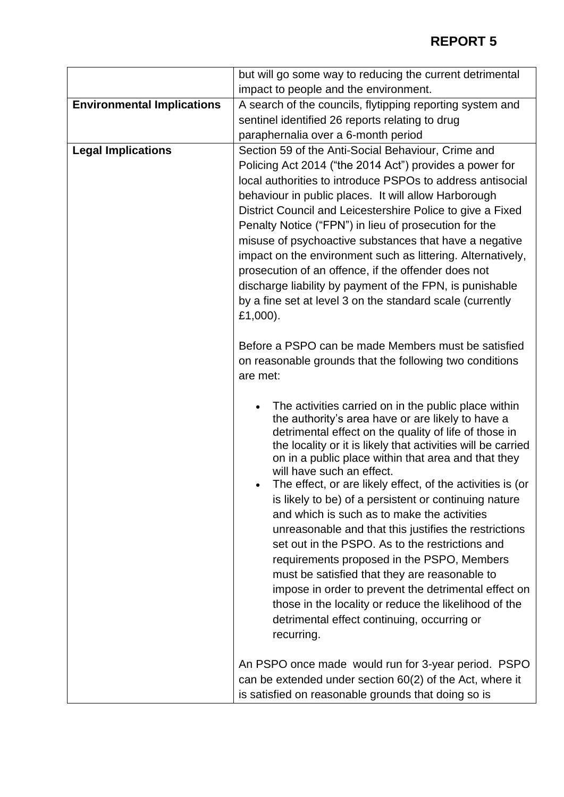|                                   | but will go some way to reducing the current detrimental                                                                                                                                                                                                                                                                                                                                                                                                                                                                                                                                                                                                                                                                                                                                                                                                                                           |
|-----------------------------------|----------------------------------------------------------------------------------------------------------------------------------------------------------------------------------------------------------------------------------------------------------------------------------------------------------------------------------------------------------------------------------------------------------------------------------------------------------------------------------------------------------------------------------------------------------------------------------------------------------------------------------------------------------------------------------------------------------------------------------------------------------------------------------------------------------------------------------------------------------------------------------------------------|
|                                   | impact to people and the environment.                                                                                                                                                                                                                                                                                                                                                                                                                                                                                                                                                                                                                                                                                                                                                                                                                                                              |
| <b>Environmental Implications</b> | A search of the councils, flytipping reporting system and                                                                                                                                                                                                                                                                                                                                                                                                                                                                                                                                                                                                                                                                                                                                                                                                                                          |
|                                   | sentinel identified 26 reports relating to drug                                                                                                                                                                                                                                                                                                                                                                                                                                                                                                                                                                                                                                                                                                                                                                                                                                                    |
|                                   | paraphernalia over a 6-month period                                                                                                                                                                                                                                                                                                                                                                                                                                                                                                                                                                                                                                                                                                                                                                                                                                                                |
| <b>Legal Implications</b>         | Section 59 of the Anti-Social Behaviour, Crime and<br>Policing Act 2014 ("the 2014 Act") provides a power for<br>local authorities to introduce PSPOs to address antisocial<br>behaviour in public places. It will allow Harborough<br>District Council and Leicestershire Police to give a Fixed<br>Penalty Notice ("FPN") in lieu of prosecution for the<br>misuse of psychoactive substances that have a negative<br>impact on the environment such as littering. Alternatively,<br>prosecution of an offence, if the offender does not<br>discharge liability by payment of the FPN, is punishable<br>by a fine set at level 3 on the standard scale (currently<br>£1,000).                                                                                                                                                                                                                    |
|                                   | Before a PSPO can be made Members must be satisfied<br>on reasonable grounds that the following two conditions<br>are met:                                                                                                                                                                                                                                                                                                                                                                                                                                                                                                                                                                                                                                                                                                                                                                         |
|                                   | The activities carried on in the public place within<br>$\bullet$<br>the authority's area have or are likely to have a<br>detrimental effect on the quality of life of those in<br>the locality or it is likely that activities will be carried<br>on in a public place within that area and that they<br>will have such an effect.<br>The effect, or are likely effect, of the activities is (or<br>is likely to be) of a persistent or continuing nature<br>and which is such as to make the activities<br>unreasonable and that this justifies the restrictions<br>set out in the PSPO. As to the restrictions and<br>requirements proposed in the PSPO, Members<br>must be satisfied that they are reasonable to<br>impose in order to prevent the detrimental effect on<br>those in the locality or reduce the likelihood of the<br>detrimental effect continuing, occurring or<br>recurring. |
|                                   | An PSPO once made would run for 3-year period. PSPO<br>can be extended under section 60(2) of the Act, where it<br>is satisfied on reasonable grounds that doing so is                                                                                                                                                                                                                                                                                                                                                                                                                                                                                                                                                                                                                                                                                                                             |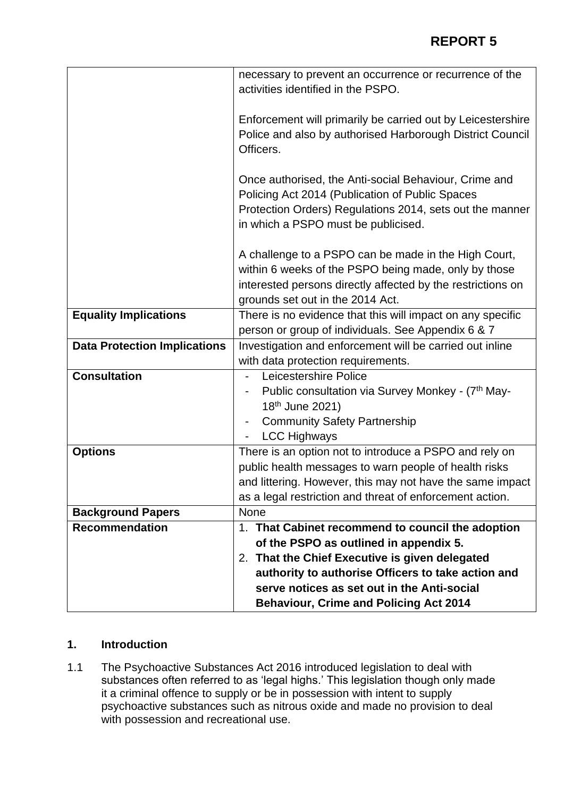|                                     | necessary to prevent an occurrence or recurrence of the<br>activities identified in the PSPO.                                                                                                                   |
|-------------------------------------|-----------------------------------------------------------------------------------------------------------------------------------------------------------------------------------------------------------------|
|                                     |                                                                                                                                                                                                                 |
|                                     | Enforcement will primarily be carried out by Leicestershire<br>Police and also by authorised Harborough District Council<br>Officers.                                                                           |
|                                     | Once authorised, the Anti-social Behaviour, Crime and<br>Policing Act 2014 (Publication of Public Spaces<br>Protection Orders) Regulations 2014, sets out the manner<br>in which a PSPO must be publicised.     |
|                                     | A challenge to a PSPO can be made in the High Court,<br>within 6 weeks of the PSPO being made, only by those<br>interested persons directly affected by the restrictions on<br>grounds set out in the 2014 Act. |
| <b>Equality Implications</b>        | There is no evidence that this will impact on any specific                                                                                                                                                      |
|                                     | person or group of individuals. See Appendix 6 & 7                                                                                                                                                              |
| <b>Data Protection Implications</b> | Investigation and enforcement will be carried out inline                                                                                                                                                        |
| <b>Consultation</b>                 | with data protection requirements.<br>Leicestershire Police                                                                                                                                                     |
|                                     |                                                                                                                                                                                                                 |
|                                     | Public consultation via Survey Monkey - (7th May-<br>18 <sup>th</sup> June 2021)                                                                                                                                |
|                                     | <b>Community Safety Partnership</b><br>$\overline{\phantom{a}}$                                                                                                                                                 |
|                                     | <b>LCC Highways</b>                                                                                                                                                                                             |
| <b>Options</b>                      | There is an option not to introduce a PSPO and rely on                                                                                                                                                          |
|                                     | public health messages to warn people of health risks                                                                                                                                                           |
|                                     | and littering. However, this may not have the same impact                                                                                                                                                       |
|                                     | as a legal restriction and threat of enforcement action.                                                                                                                                                        |
| <b>Background Papers</b>            | None                                                                                                                                                                                                            |
| <b>Recommendation</b>               | 1. That Cabinet recommend to council the adoption                                                                                                                                                               |
|                                     | of the PSPO as outlined in appendix 5.                                                                                                                                                                          |
|                                     | That the Chief Executive is given delegated<br>2.                                                                                                                                                               |
|                                     | authority to authorise Officers to take action and                                                                                                                                                              |
|                                     | serve notices as set out in the Anti-social                                                                                                                                                                     |
|                                     | <b>Behaviour, Crime and Policing Act 2014</b>                                                                                                                                                                   |

#### **1. Introduction**

1.1 The Psychoactive Substances Act 2016 introduced legislation to deal with substances often referred to as 'legal highs.' This legislation though only made it a criminal offence to supply or be in possession with intent to supply psychoactive substances such as nitrous oxide and made no provision to deal with possession and recreational use.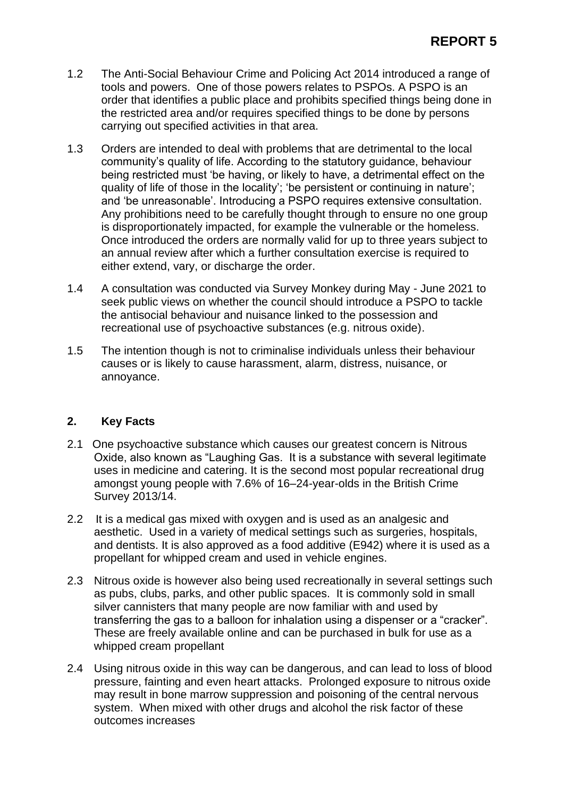- 1.2 The Anti-Social Behaviour Crime and Policing Act 2014 introduced a range of tools and powers. One of those powers relates to PSPOs. A PSPO is an order that identifies a public place and prohibits specified things being done in the restricted area and/or requires specified things to be done by persons carrying out specified activities in that area.
- 1.3 Orders are intended to deal with problems that are detrimental to the local community's quality of life. According to the statutory guidance, behaviour being restricted must 'be having, or likely to have, a detrimental effect on the quality of life of those in the locality'; 'be persistent or continuing in nature'; and 'be unreasonable'. Introducing a PSPO requires extensive consultation. Any prohibitions need to be carefully thought through to ensure no one group is disproportionately impacted, for example the vulnerable or the homeless. Once introduced the orders are normally valid for up to three years subject to an annual review after which a further consultation exercise is required to either extend, vary, or discharge the order.
- 1.4 A consultation was conducted via Survey Monkey during May June 2021 to seek public views on whether the council should introduce a PSPO to tackle the antisocial behaviour and nuisance linked to the possession and recreational use of psychoactive substances (e.g. nitrous oxide).
- 1.5 The intention though is not to criminalise individuals unless their behaviour causes or is likely to cause harassment, alarm, distress, nuisance, or annoyance.

#### **2. Key Facts**

- 2.1 One psychoactive substance which causes our greatest concern is Nitrous Oxide, also known as "Laughing Gas. It is a substance with several legitimate uses in medicine and catering. It is the second most popular recreational drug amongst young people with 7.6% of 16–24-year-olds in the British Crime Survey 2013/14.
- 2.2 It is a medical gas mixed with oxygen and is used as an analgesic and aesthetic. Used in a variety of medical settings such as surgeries, hospitals, and dentists. It is also approved as a food additive (E942) where it is used as a propellant for whipped cream and used in vehicle engines.
- 2.3 Nitrous oxide is however also being used recreationally in several settings such as pubs, clubs, parks, and other public spaces. It is commonly sold in small silver cannisters that many people are now familiar with and used by transferring the gas to a balloon for inhalation using a dispenser or a "cracker". These are freely available online and can be purchased in bulk for use as a whipped cream propellant
- 2.4 Using nitrous oxide in this way can be dangerous, and can lead to loss of blood pressure, fainting and even heart attacks. Prolonged exposure to nitrous oxide may result in bone marrow suppression and poisoning of the central nervous system. When mixed with other drugs and alcohol the risk factor of these outcomes increases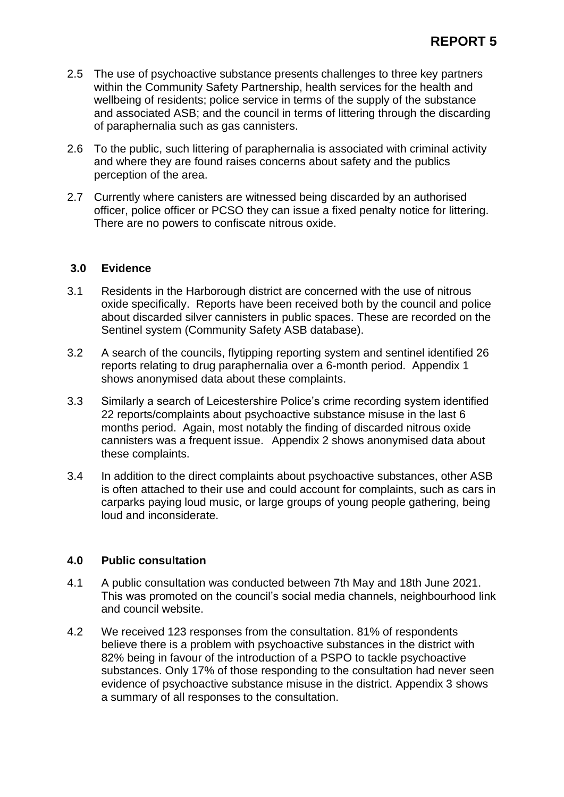- 2.5 The use of psychoactive substance presents challenges to three key partners within the Community Safety Partnership, health services for the health and wellbeing of residents; police service in terms of the supply of the substance and associated ASB; and the council in terms of littering through the discarding of paraphernalia such as gas cannisters.
- 2.6 To the public, such littering of paraphernalia is associated with criminal activity and where they are found raises concerns about safety and the publics perception of the area.
- 2.7 Currently where canisters are witnessed being discarded by an authorised officer, police officer or PCSO they can issue a fixed penalty notice for littering. There are no powers to confiscate nitrous oxide.

#### **3.0 Evidence**

- 3.1 Residents in the Harborough district are concerned with the use of nitrous oxide specifically. Reports have been received both by the council and police about discarded silver cannisters in public spaces. These are recorded on the Sentinel system (Community Safety ASB database).
- 3.2 A search of the councils, flytipping reporting system and sentinel identified 26 reports relating to drug paraphernalia over a 6-month period. Appendix 1 shows anonymised data about these complaints.
- 3.3 Similarly a search of Leicestershire Police's crime recording system identified 22 reports/complaints about psychoactive substance misuse in the last 6 months period. Again, most notably the finding of discarded nitrous oxide cannisters was a frequent issue. Appendix 2 shows anonymised data about these complaints.
- 3.4 In addition to the direct complaints about psychoactive substances, other ASB is often attached to their use and could account for complaints, such as cars in carparks paying loud music, or large groups of young people gathering, being loud and inconsiderate.

#### **4.0 Public consultation**

- 4.1 A public consultation was conducted between 7th May and 18th June 2021. This was promoted on the council's social media channels, neighbourhood link and council website.
- 4.2 We received 123 responses from the consultation. 81% of respondents believe there is a problem with psychoactive substances in the district with 82% being in favour of the introduction of a PSPO to tackle psychoactive substances. Only 17% of those responding to the consultation had never seen evidence of psychoactive substance misuse in the district. Appendix 3 shows a summary of all responses to the consultation.